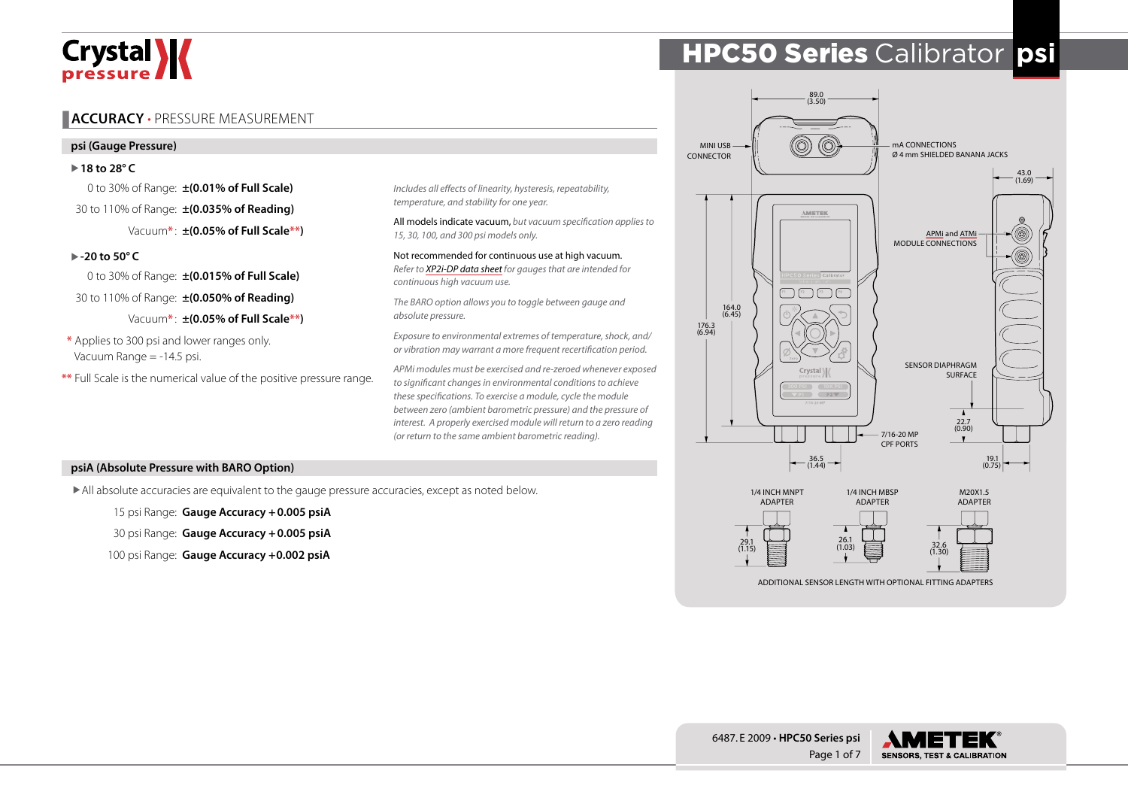# Crystal **X**

# **ACCURACY** • PRESSURE MEASUREMENT

#### **psi (Gauge Pressure)**

X**18 to 28° C**

0 to 30% of Range: **±(0.01% of Full Scale)** 30 to 110% of Range: **±(0.035% of Reading)** Vacuum**\*** : **±(0.05% of Full Scale\*\*)**

#### X**-20 to 50° C**

0 to 30% of Range: **±(0.015% of Full Scale)** 30 to 110% of Range: **±(0.050% of Reading)**

Vacuum**\*** : **±(0.05% of Full Scale\*\*)**

**\*** Applies to 300 psi and lower ranges only. Vacuum Range = -14.5 psi.

**\*\*** Full Scale is the numerical value of the positive pressure range.

*Includes all effects of linearity, hysteresis, repeatability, temperature, and stability for one year.*

All models indicate vacuum, *but vacuum specification applies to 15, 30, 100, and 300 psi models only.*

Not recommended for continuous use at high vacuum. *Refer to [XP2i-DP data sheet](https://www.ametekcalibration.com/products/pressure/digital-pressure-gauges/xp2i-dp-differential-pressure-gauge) for gauges that are intended for continuous high vacuum use.* 

*The BARO option allows you to toggle between gauge and absolute pressure.*

*Exposure to environmental extremes of temperature, shock, and/ or vibration may warrant a more frequent recertification period.*

*APMi modules must be exercised and re-zeroed whenever exposed to significant changes in environmental conditions to achieve these specifications. To exercise a module, cycle the module between zero (ambient barometric pressure) and the pressure of interest. A properly exercised module will return to a zero reading (or return to the same ambient barometric reading).*

#### **psiA (Absolute Pressure with BARO Option)**

All absolute accuracies are equivalent to the gauge pressure accuracies, except as noted below.

15 psi Range: **Gauge Accuracy +0.005 psiA**

30 psi Range: **Gauge Accuracy +0.005 psiA**

100 psi Range: **Gauge Accuracy +0.002 psiA**

# HPC50 Series Calibrator **psi**



Page 1 of 7 6487. E 2009 • **HPC50 Series psi**

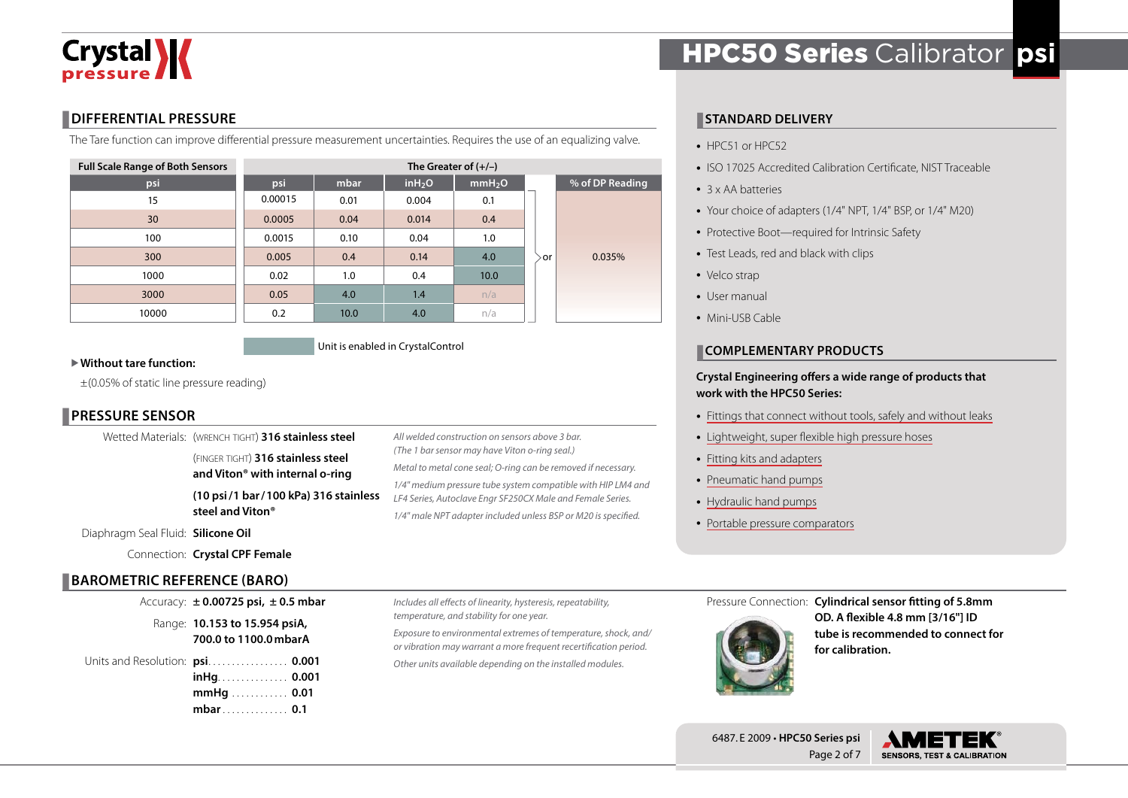

#### **DIFFERENTIAL PRESSURE**

The Tare function can improve differential pressure measurement uncertainties. Requires the use of an equalizing valve.

| <b>Full Scale Range of Both Sensors</b> | The Greater of $(+/-)$ |      |                     |                    |    |                 |  |  |  |  |
|-----------------------------------------|------------------------|------|---------------------|--------------------|----|-----------------|--|--|--|--|
| psi                                     | psi                    | mbar | in H <sub>2</sub> O | mmH <sub>2</sub> O |    | % of DP Reading |  |  |  |  |
| 15                                      | 0.00015                | 0.01 | 0.004               | 0.1                |    |                 |  |  |  |  |
| 30                                      | 0.0005                 | 0.04 | 0.014               | 0.4                |    |                 |  |  |  |  |
| 100                                     | 0.0015                 | 0.10 | 0.04                | 1.0                |    |                 |  |  |  |  |
| 300                                     | 0.005                  | 0.4  | 0.14                | 4.0                | or | 0.035%          |  |  |  |  |
| 1000                                    | 0.02                   | 1.0  | 0.4                 | 10.0               |    |                 |  |  |  |  |
| 3000                                    | 0.05                   | 4.0  | 1.4                 | n/a                |    |                 |  |  |  |  |
| 10000                                   | 0.2                    | 10.0 | 4.0                 | n/a                |    |                 |  |  |  |  |

Unit is enabled in CrystalControl

#### X**Without tare function:**

 $\pm$ (0.05% of static line pressure reading)

## **PRESSURE SENSOR**

| <b>BAROMETRIC REFERENCE (BARO)</b> |                                                      |                                                                                                                            |  |  |  |  |
|------------------------------------|------------------------------------------------------|----------------------------------------------------------------------------------------------------------------------------|--|--|--|--|
|                                    | Connection: Crystal CPF Female                       |                                                                                                                            |  |  |  |  |
| Diaphragm Seal Fluid: Silicone Oil |                                                      |                                                                                                                            |  |  |  |  |
|                                    | steel and Viton <sup>®</sup>                         | 1/4" male NPT adapter included unless BSP or M20 is specified.                                                             |  |  |  |  |
|                                    | (10 psi/1 bar/100 kPa) 316 stainless                 | 1/4" medium pressure tube system compatible with HIP LM4 and<br>LF4 Series, Autoclave Engr SF250CX Male and Female Series. |  |  |  |  |
|                                    | and Viton <sup>®</sup> with internal o-ring          | Metal to metal cone seal; O-ring can be removed if necessary.                                                              |  |  |  |  |
|                                    | (FINGER TIGHT) 316 stainless steel                   | (The 1 bar sensor may have Viton o-ring seal.)                                                                             |  |  |  |  |
|                                    | Wetted Materials: (WRENCH TIGHT) 316 stainless steel | All welded construction on sensors above 3 bar.                                                                            |  |  |  |  |

| Accuracy: $\pm$ 0.00725 psi, $\pm$ 0.5 mbar                                  |  |
|------------------------------------------------------------------------------|--|
| Range: 10.153 to 15.954 psiA,<br>700.0 to 1100.0 mbarA                       |  |
| Units and Resolution: psi 0.001<br>$in$ Hq. 0.001<br>$mmHg$ 0.01<br>mbar 0.1 |  |

*Includes all effects of linearity, hysteresis, repeatability, temperature, and stability for one year. Exposure to environmental extremes of temperature, shock, and/*

*or vibration may warrant a more frequent recertification period. Other units available depending on the installed modules.*

# HPC50 Series Calibrator **psi**

#### **STANDARD DELIVERY**

- HPC51 or HPC52
- ISO 17025 Accredited Calibration Certificate, NIST Traceable
- 3 x AA batteries
- Your choice of adapters (1/4" NPT, 1/4" BSP, or 1/4" M20)
- Protective Boot—required for Intrinsic Safety
- Test Leads, red and black with clips
- Velco strap
- User manual
- Mini-USB Cable

#### **COMPLEMENTARY PRODUCTS**

#### **Crystal Engineering offers a wide range of products that work with the HPC50 Series:**

- [Fittings that connect without tools, safely and without leaks](https://www.ametekcalibration.com/products/pump-systems/pressure-fittings/cpf-high-pressure-fittings)
- [Lightweight, super flexible high pressure hoses](https://www.ametekcalibration.com/products/pump-systems/pressure-fittings/cpf-high-pressure-fittings)
- [Fitting kits and adapters](https://www.ametekcalibration.com/products/pump-systems/pressure-fittings/cpf-high-pressure-fittings)
- [Pneumatic hand pumps](https://www.ametekcalibration.com/products/pump-systems/pneumatic-hand-pumps)
- [Hydraulic hand pumps](https://www.ametekcalibration.com/products/pump-systems/hydraulic-hand-pumps)
- [Portable pressure comparators](https://www.ametekcalibration.com/products/pump-systems/pressure-comparators)

Pressure Connection: **Cylindrical sensor fitting of 5.8mm** 



**OD. A flexible 4.8 mm [3/16"] ID tube is recommended to connect for for calibration.**



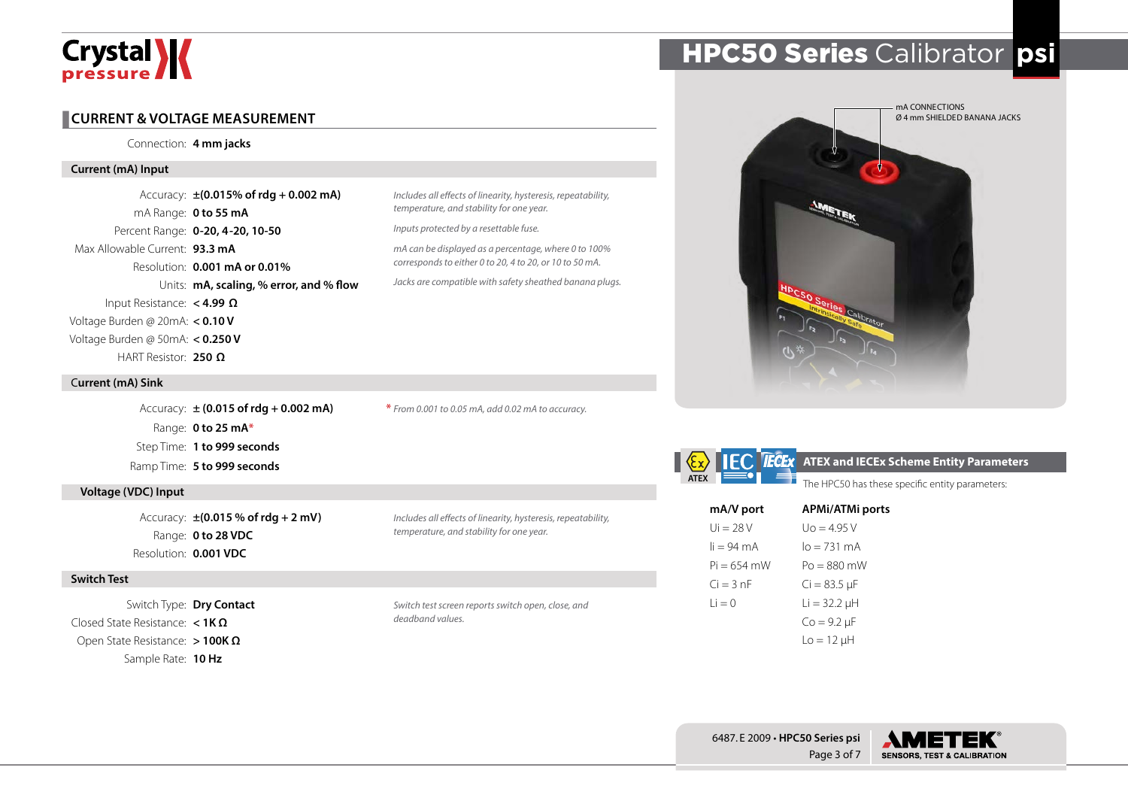# Crystal **X**

#### **CURRENT & VOLTAGE MEASUREMENT**

Connection: **4 mm jacks**

#### **Current (mA) Input**

Accuracy: **±(0.015% of rdg + 0.002 mA)** mA Range: **0 to 55 mA** Percent Range: **0-20, 4-20, 10-50** Max Allowable Current: **93.3 mA** Resolution: **0.001 mA or 0.01%** Units: **mA, scaling, % error, and % flow** Input Resistance: **< 4.99 Ω** Voltage Burden @ 20mA: **< 0.10 V** Voltage Burden @ 50mA: **< 0.250 V** HART Resistor: **250 Ω**

#### C**urrent (mA) Sink**

Accuracy: **± (0.015 of rdg + 0.002 mA)** Range: **0 to 25 mA\*** Step Time: **1 to 999 seconds** Ramp Time: **5 to 999 seconds**

#### **Voltage (VDC) Input**

Accuracy: **±(0.015 % of rdg + 2 mV)** Range: **0 to 28 VDC** Resolution: **0.001 VDC**

#### **Switch Test**

Switch Type: **Dry Contact** Closed State Resistance: **< 1K Ω** Open State Resistance: **> 100K Ω** Sample Rate: **10 Hz**

**\*** *From 0.001 to 0.05 mA, add 0.02 mA to accuracy.*

*Includes all effects of linearity, hysteresis, repeatability,* 

*mA can be displayed as a percentage, where 0 to 100% corresponds to either 0 to 20, 4 to 20, or 10 to 50 mA. Jacks are compatible with safety sheathed banana plugs.*

*temperature, and stability for one year. Inputs protected by a resettable fuse.*

*Includes all effects of linearity, hysteresis, repeatability,* 

*temperature, and stability for one year.*

*Switch test screen reports switch open, close, and deadband values.*

# HPC50 Series Calibrator **psi**



| ATEX |  |
|------|--|

#### **ATEX ATEX** and IECEx Scheme Entity Parameters

The HPC50 has these specific entity parameters:

| mA/V port            | <b>APMi/ATMi ports</b> |
|----------------------|------------------------|
| $Ui = 28V$           | $U_0 = 4.95 V$         |
| $li = 94 \text{ mA}$ | $I_0 = 731 \text{ mA}$ |
| $Pi = 654$ mW        | $Po = 880$ mW          |
| $Ci = 3 nF$          | $Ci = 83.5 \mu F$      |
| $i = 0$              | $Li = 32.2 \mu H$      |
|                      | $Co = 9.2 \mu F$       |
|                      | $Lo = 12 \mu H$        |

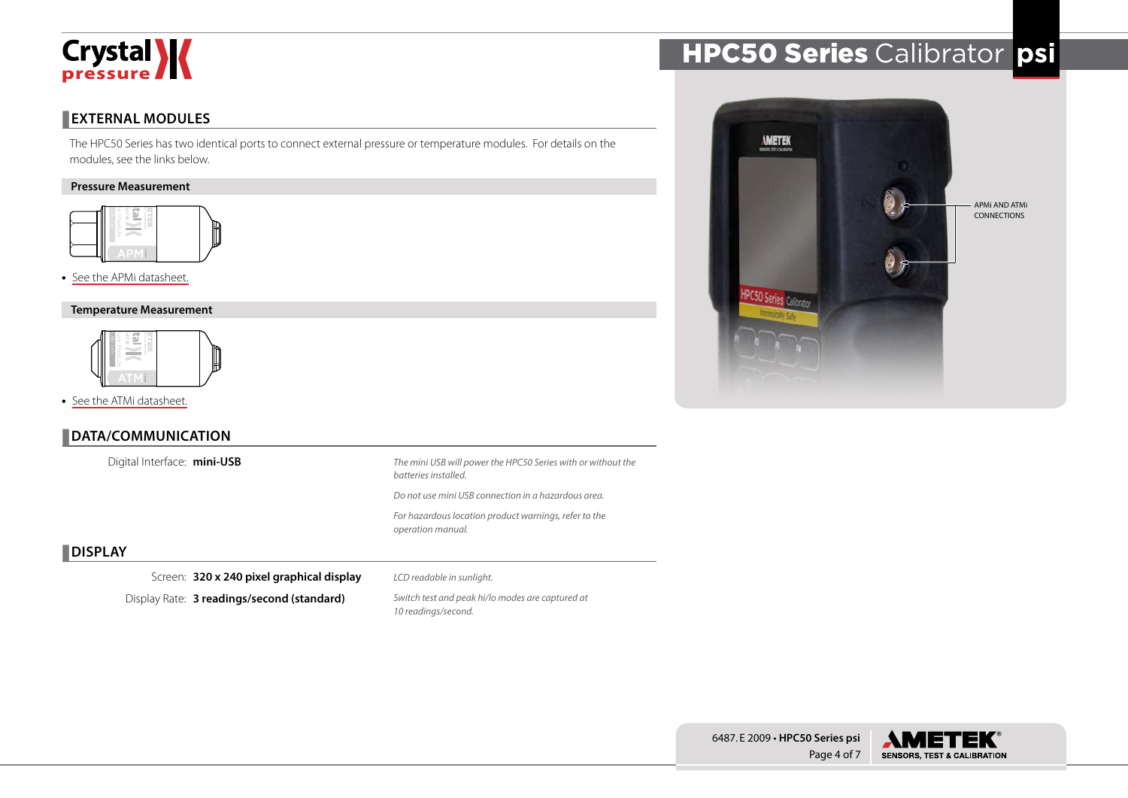

## **EXTERNAL MODULES**

The HPC50 Series has two identical ports to connect external pressure or temperature modules. For details on the modules, see the links below.

#### **Pressure Measurement**



#### • [See the APMi datasheet.](https://www.ametekcalibration.com/products/pressure/pressure-calibrators/apmi-intrinsically-safe-pressure-module)

#### **Temperature Measurement**



• [See the ATMi datasheet.](https://www.ametekcalibration.com/products/pressure/pressure-calibrators/atmi-intrinsically-safe-temperature-module)

## **DATA/COMMUNICATION**

Digital Interface: **mini-USB**



## **DISPLAY**

Screen: **320 x 240 pixel graphical display**

Display Rate: **3 readings/second (standard)**

*LCD readable in sunlight. Switch test and peak hi/lo modes are captured at* 

*10 readings/second.*

HPC50 Series Calibrator **psi**



Page 4 of 7 6487. E 2009 • **HPC50 Series psi**

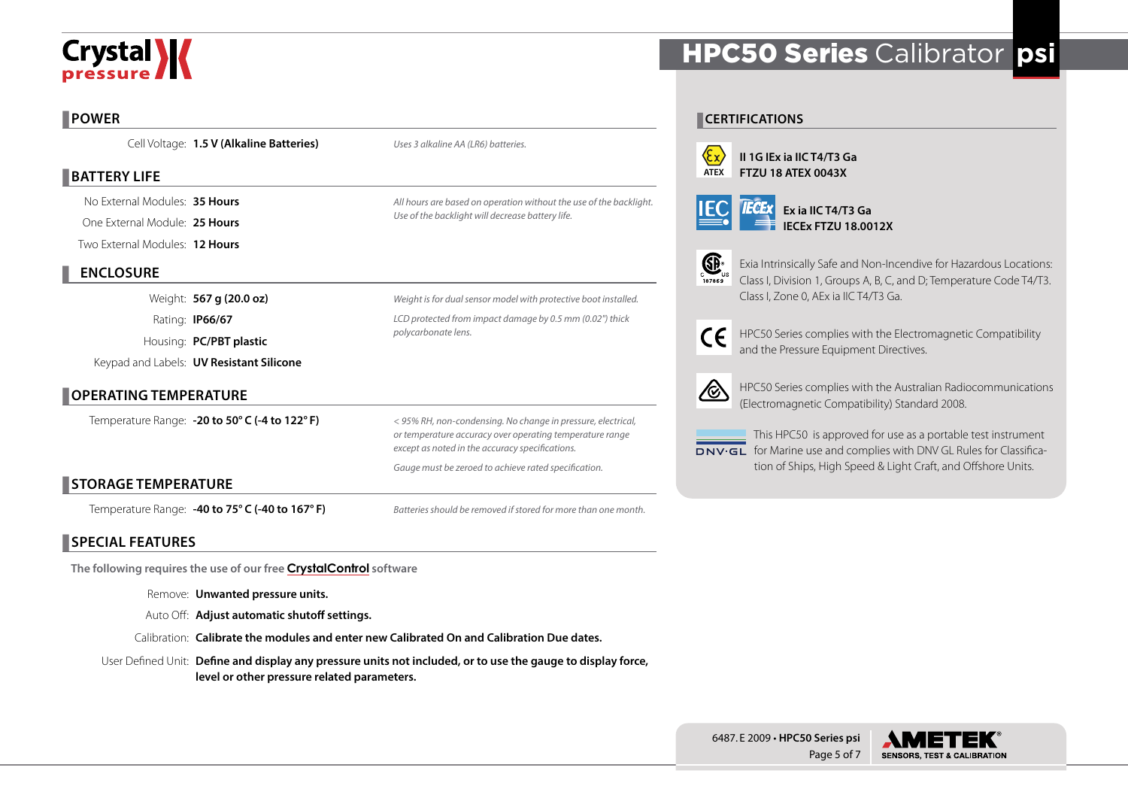# Crystal **W**

## **POWER**

Cell Voltage: **1.5 V (Alkaline Batteries)**

# **BATTERY LIFE**

No External Modules: **35 Hours**

One External Module: **25 Hours** Two External Modules: **12 Hours**

# **ENCLOSURE**

Weight: **567 g (20.0 oz)** Rating: **IP66/67** Housing: **PC/PBT plastic** Keypad and Labels: **UV Resistant Silicone**

# **OPERATING TEMPERATURE**

Temperature Range: **-20 to 50° C (-4 to 122° F)**

*< 95% RH, non-condensing. No change in pressure, electrical, or temperature accuracy over operating temperature range except as noted in the accuracy specifications.*

*Batteries should be removed if stored for more than one month.*

*Weight is for dual sensor model with protective boot installed. LCD protected from impact damage by 0.5 mm (0.02") thick* 

*All hours are based on operation without the use of the backlight.* 

*Gauge must be zeroed to achieve rated specification.*

*polycarbonate lens.*

*Uses 3 alkaline AA (LR6) batteries.*

*Use of the backlight will decrease battery life.*

# **STORAGE TEMPERATURE**

Temperature Range: **-40 to 75° C (-40 to 167° F)**

# **SPECIAL FEATURES**

**The following requires the use of our free [CrystalControl](https://www.ametekcalibration.com/products/software/configuration-software/crystalcontrol) software**

Remove: **Unwanted pressure units.**

Auto Off: **Adjust automatic shutoff settings.**

Calibration: **Calibrate the modules and enter new Calibrated On and Calibration Due dates.**

User Defined Unit: **Define and display any pressure units not included, or to use the gauge to display force, level or other pressure related parameters.**

# HPC50 Series Calibrator **psi**

# **CERTIFICATIONS**



**II 1G IEx ia IIC T4/T3 Ga FTZU 18 ATEX 0043X**





Exia Intrinsically Safe and Non-Incendive for Hazardous Locations: Class I, Division 1, Groups A, B, C, and D; Temperature Code T4/T3. Class I, Zone 0, AEx ia IIC T4/T3 Ga.

HPC50 Series complies with the Electromagnetic Compatibility and the Pressure Equipment Directives.



 $\epsilon$ 

HPC50 Series complies with the Australian Radiocommunications (Electromagnetic Compatibility) Standard 2008.

This HPC50 is approved for use as a portable test instrument DNV GL for Marine use and complies with DNV GL Rules for Classification of Ships, High Speed & Light Craft, and Offshore Units.



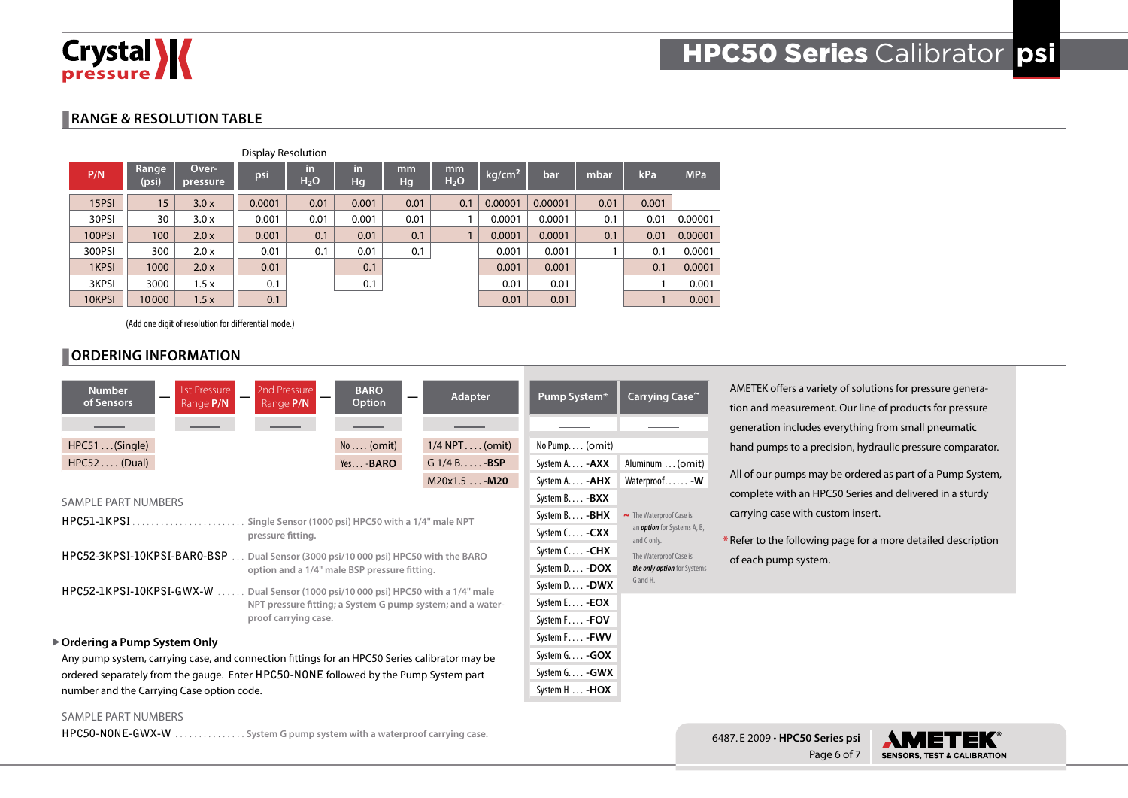

## **RANGE & RESOLUTION TABLE**

|        |                |                    | <b>Display Resolution</b> |                        |          |          |                        |                    |         |      |       |            |
|--------|----------------|--------------------|---------------------------|------------------------|----------|----------|------------------------|--------------------|---------|------|-------|------------|
| P/N    | Range<br>(psi) | Over-<br>pressure' | psi                       | in<br>H <sub>2</sub> O | in<br>Hg | mm<br>Hg | mm<br>H <sub>2</sub> O | kg/cm <sup>2</sup> | bar     | mbar | kPa   | <b>MPa</b> |
| 15PSI  | 15             | 3.0x               | 0.0001                    | 0.01                   | 0.001    | 0.01     | 0.1                    | 0.00001            | 0.00001 | 0.01 | 0.001 |            |
| 30PSI  | 30             | 3.0x               | 0.001                     | 0.01                   | 0.001    | 0.01     |                        | 0.0001             | 0.0001  | 0.1  | 0.01  | 0.00001    |
| 100PSI | 100            | 2.0x               | 0.001                     | 0.1                    | 0.01     | 0.1      |                        | 0.0001             | 0.0001  | 0.1  | 0.01  | 0.00001    |
| 300PSI | 300            | 2.0 x              | 0.01                      | 0.1                    | 0.01     | 0.1      |                        | 0.001              | 0.001   |      | 0.1   | 0.0001     |
| 1KPSI  | 1000           | 2.0x               | 0.01                      |                        | 0.1      |          |                        | 0.001              | 0.001   |      | 0.1   | 0.0001     |
| 3KPSI  | 3000           | 1.5x               | 0.1                       |                        | 0.1      |          |                        | 0.01               | 0.01    |      |       | 0.001      |
| 10KPSI | 10000          | 1.5x               | 0.1                       |                        |          |          |                        | 0.01               | 0.01    |      |       | 0.001      |

(Add one digit of resolution for differential mode.)

# **ORDERING INFORMATION**

| 1st Pressure<br><b>Number</b><br>of Sensors<br>Range P/N                                      | 2nd Pressure<br>Range P/N                                  | <b>BARO</b><br><b>Option</b> | Adapter          | Pump System*          | Carrying Case~                                                                     |  |
|-----------------------------------------------------------------------------------------------|------------------------------------------------------------|------------------------------|------------------|-----------------------|------------------------------------------------------------------------------------|--|
|                                                                                               |                                                            |                              |                  |                       |                                                                                    |  |
| HPC51(Single)                                                                                 |                                                            | $No \ldots (omit)$           | $1/4$ NPT (omit) | No Pump (omit)        |                                                                                    |  |
| $HPC52 \ldots (Dual)$                                                                         |                                                            | Yes - BARO                   | $G$ 1/4 B - BSP  | System A - AXX        | Aluminum  (omit)                                                                   |  |
|                                                                                               |                                                            |                              | M20x1.5 - M20    | System A - <b>AHX</b> | Waterproof - W                                                                     |  |
| <b>SAMPLE PART NUMBERS</b>                                                                    |                                                            |                              |                  | System B - BXX        |                                                                                    |  |
| HPC51-1KPSI                                                                                   | Single Sensor (1000 psi) HPC50 with a 1/4" male NPT        |                              |                  | System B - BHX        | $\sim$ The Waterproof Case is<br>an <i>option</i> for Systems A, B,<br>and C only. |  |
|                                                                                               | pressure fitting.                                          |                              |                  | System C - CXX        |                                                                                    |  |
| HPC52-3KPSI-10KPSI-BAR0-BSP.                                                                  | Dual Sensor (3000 psi/10 000 psi) HPC50 with the BARO      |                              |                  | System C - CHX        | The Waterproof Case is                                                             |  |
|                                                                                               | option and a 1/4" male BSP pressure fitting.               |                              |                  | System D - DOX        | the only option for Systems                                                        |  |
| HPC52-1KPSI-10KPSI-GWX-W                                                                      | Dual Sensor (1000 psi/10 000 psi) HPC50 with a 1/4" male   |                              |                  | System D - DWX        | G and H.                                                                           |  |
|                                                                                               | NPT pressure fitting; a System G pump system; and a water- |                              |                  | System E - <b>EOX</b> |                                                                                    |  |
|                                                                                               | proof carrying case.                                       |                              |                  | System F - FOV        |                                                                                    |  |
| ▶ Ordering a Pump System Only                                                                 |                                                            |                              |                  | System F - FWV        |                                                                                    |  |
| Any pump system, carrying case, and connection fittings for an HPC50 Series calibrator may be | System G - GOX                                             |                              |                  |                       |                                                                                    |  |
| ordered separately from the gauge. Enter HPC50-NONE followed by the Pump System part          | System G - GWX                                             |                              |                  |                       |                                                                                    |  |
| number and the Carrying Case option code.                                                     | System H  - HOX                                            |                              |                  |                       |                                                                                    |  |

AMETEK offers a variety of solutions for pressure generation and measurement. Our line of products for pressure generation includes everything from small pneumatic hand pumps to a precision, hydraulic pressure comparator.

All of our pumps may be ordered as part of a Pump System, complete with an HPC50 Series and delivered in a sturdy carrying case with custom insert.

\* Refer to the following page for a more detailed description of each pump system.

#### SAMPLE PART NUMBERS

**HPC50-NONE-GWX-W**. . **System G pump system with a waterproof carrying case.**